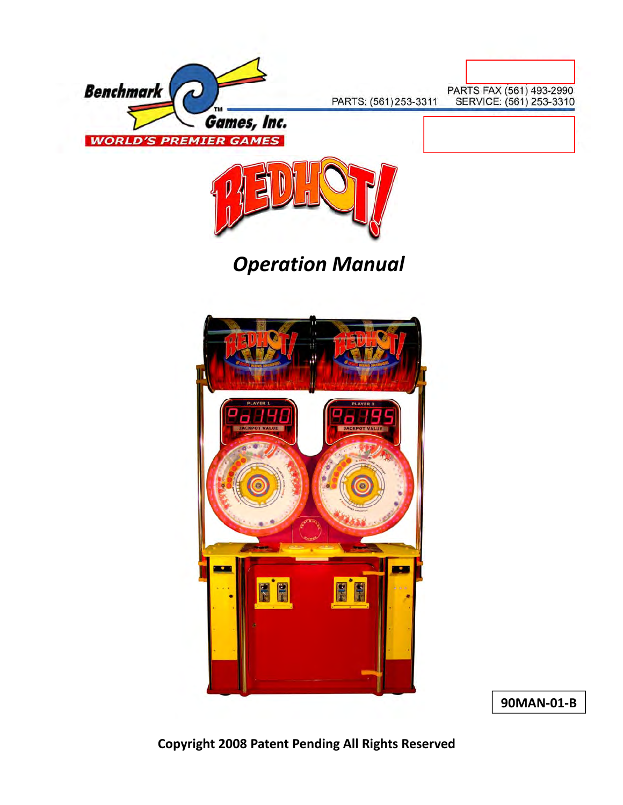



# *Operation Manual*



**90MAN‐01‐B**

**Copyright 2008 Patent Pending All Rights Reserved**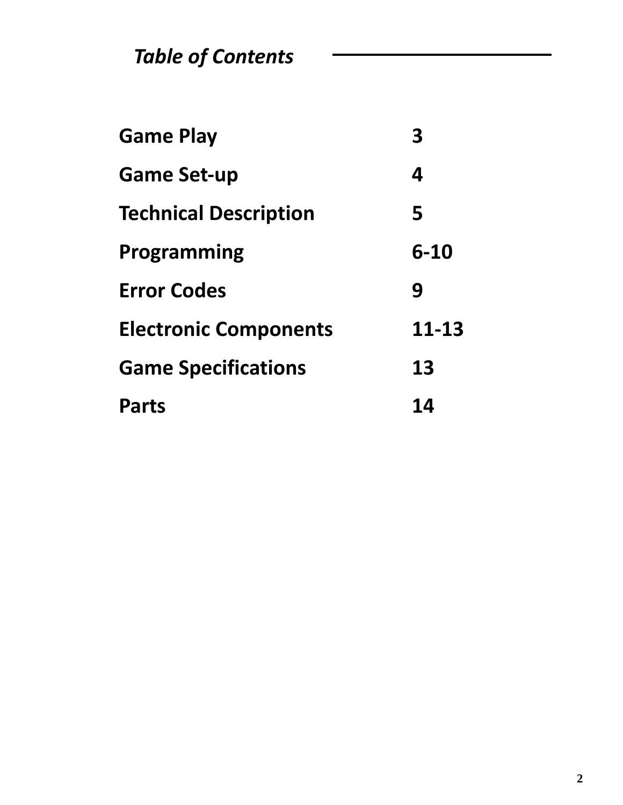*Table of Contents*

| <b>Game Play</b>             |          |
|------------------------------|----------|
| <b>Game Set-up</b>           | 4        |
| <b>Technical Description</b> | 5        |
| Programming                  | $6 - 10$ |
| <b>Error Codes</b>           | 9        |
| <b>Electronic Components</b> | 11-13    |
| <b>Game Specifications</b>   | 13       |
| <b>Parts</b>                 | 14       |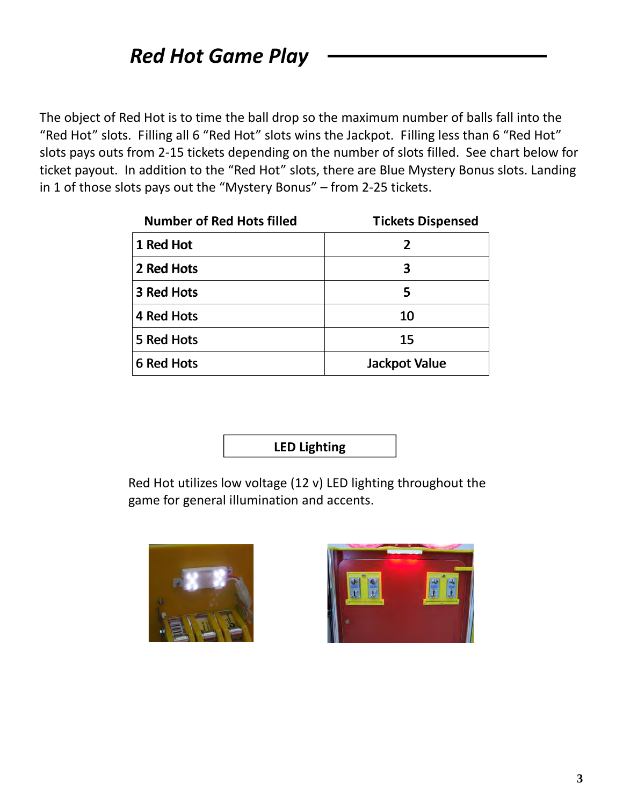The object of Red Hot is to time the ball drop so the maximum number of balls fall into the "Red Hot" slots. Filling all 6 "Red Hot" slots wins the Jackpot. Filling less than 6 "Red Hot" slots pays outs from 2‐15 tickets depending on the number of slots filled. See chart below for ticket payout. In addition to the "Red Hot" slots, there are Blue Mystery Bonus slots. Landing in 1 of those slots pays out the "Mystery Bonus" – from 2‐25 tickets.

| <b>Number of Red Hots filled</b> | <b>Tickets Dispensed</b> |
|----------------------------------|--------------------------|
| 1 Red Hot                        | $\mathcal I$             |
| 2 Red Hots                       | 3                        |
| 3 Red Hots                       | 5                        |
| 4 Red Hots                       | 10                       |
| 5 Red Hots                       | 15                       |
| 6 Red Hots                       | Jackpot Value            |

**LED Lighting**

Red Hot utilizes low voltage (12 v) LED lighting throughout the game for general illumination and accents.



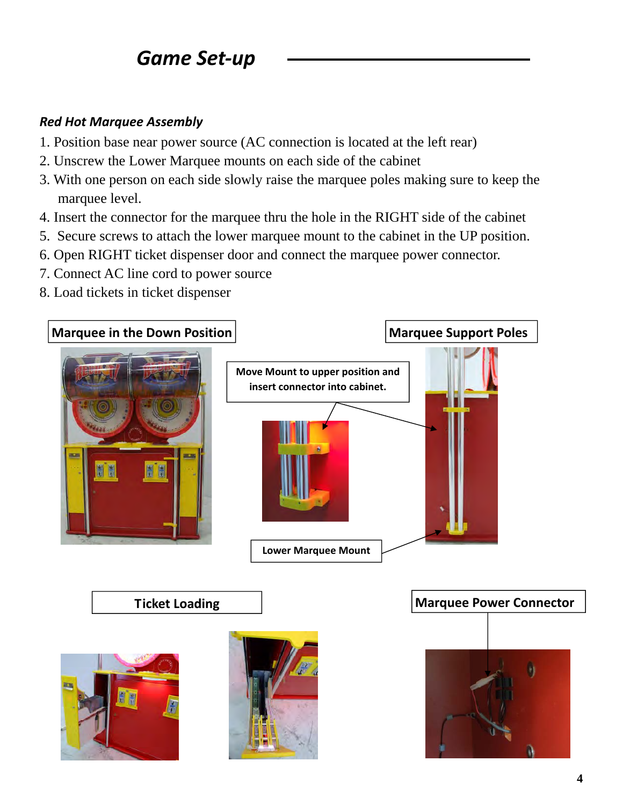## *Game Set‐up*

### *Red Hot Marquee Assembly*

- 1. Position base near power source (AC connection is located at the left rear)
- 2. Unscrew the Lower Marquee mounts on each side of the cabinet
- 3. With one person on each side slowly raise the marquee poles making sure to keep the marquee level.
- 4. Insert the connector for the marquee thru the hole in the RIGHT side of the cabinet
- 5. Secure screws to attach the lower marquee mount to the cabinet in the UP position.
- 6. Open RIGHT ticket dispenser door and connect the marquee power connector.
- 7. Connect AC line cord to power source
- 8. Load tickets in ticket dispenser

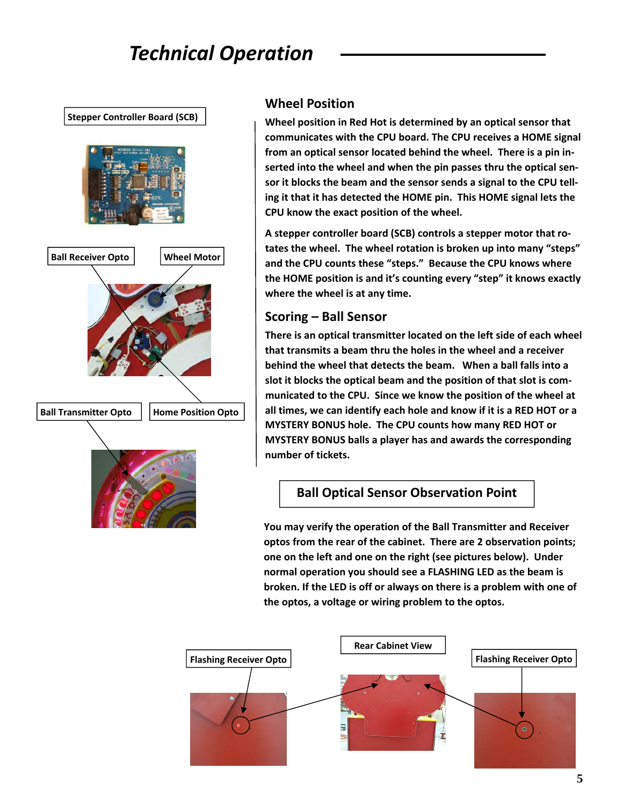# *Technical Operation*

**Stepper Controller Board (SCB)**



### **Wheel Position**

**Wheel position in Red Hot is determined by an optical sensor that communicates with the CPU board. The CPU receives a HOME signal from an optical sensor located behind the wheel. There is a pin in‐ serted into the wheel and when the pin passes thru the optical sen‐ sor it blocks the beam and the sensor sends a signal to the CPU tell‐ ing it that it has detected the HOME pin. This HOME signal lets the CPU know the exact position of the wheel.** 

**A stepper controller board (SCB) controls a stepper motor that ro‐ tates the wheel. The wheel rotation is broken up into many "steps" and the CPU counts these "steps." Because the CPU knows where the HOME position is and it's counting every "step" it knows exactly where the wheel is at any time.** 

### **Scoring – Ball Sensor**

**There is an optical transmitter located on the left side of each wheel that transmits a beam thru the holes in the wheel and a receiver behind the wheel that detects the beam. When a ball falls into a slot it blocks the optical beam and the position of that slot is com‐ municated to the CPU. Since we know the position of the wheel at all times, we can identify each hole and know if it is a RED HOT or a MYSTERY BONUS hole. The CPU counts how many RED HOT or MYSTERY BONUS balls a player has and awards the corresponding number of tickets.** 

### **Ball Optical Sensor Observation Point**

**You may verify the operation of the Ball Transmitter and Receiver optos from the rear of the cabinet. There are 2 observation points; one on the left and one on the right (see pictures below). Under normal operation you should see a FLASHING LED as the beam is broken. If the LED is off or always on there is a problem with one of the optos, a voltage or wiring problem to the optos.**

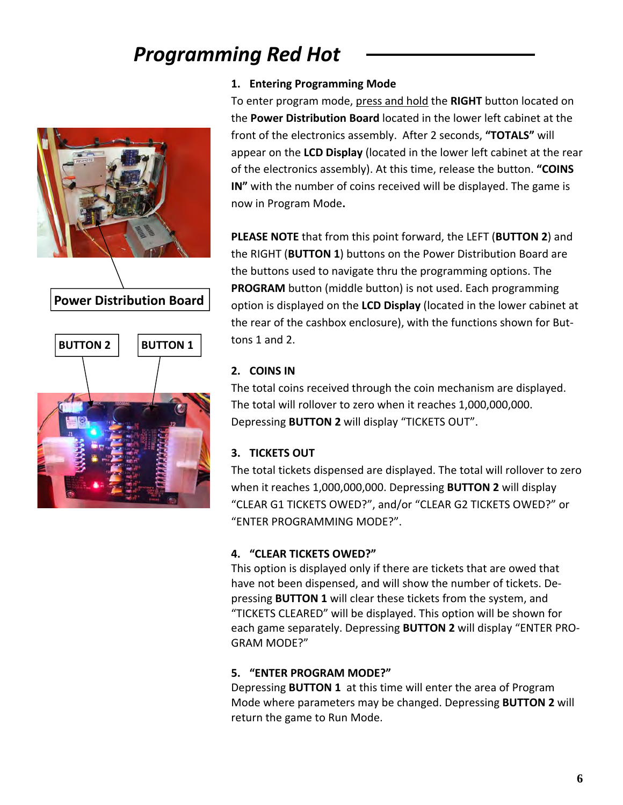

**Power Distribution Board**



#### **1. Entering Programming Mode**

To enter program mode, press and hold the **RIGHT** button located on the **Power Distribution Board** located in the lower left cabinet at the front of the electronics assembly. After 2 seconds, **"TOTALS"** will appear on the **LCD Display** (located in the lower left cabinet at the rear of the electronics assembly). At this time, release the button. **"COINS IN"** with the number of coins received will be displayed. The game is now in Program Mode**.**

**PLEASE NOTE** that from this point forward, the LEFT (**BUTTON 2**) and the RIGHT (**BUTTON 1**) buttons on the Power Distribution Board are the buttons used to navigate thru the programming options. The **PROGRAM** button (middle button) is not used. Each programming option is displayed on the **LCD Display** (located in the lower cabinet at the rear of the cashbox enclosure), with the functions shown for But‐ tons 1 and 2.

### **2. COINS IN**

The total coins received through the coin mechanism are displayed. The total will rollover to zero when it reaches 1,000,000,000. Depressing **BUTTON 2** will display "TICKETS OUT".

### **3. TICKETS OUT**

The total tickets dispensed are displayed. The total will rollover to zero when it reaches 1,000,000,000. Depressing **BUTTON 2** will display "CLEAR G1 TICKETS OWED?", and/or "CLEAR G2 TICKETS OWED?" or "ENTER PROGRAMMING MODE?".

### **4. "CLEAR TICKETS OWED?"**

This option is displayed only if there are tickets that are owed that have not been dispensed, and will show the number of tickets. De‐ pressing **BUTTON 1** will clear these tickets from the system, and "TICKETS CLEARED" will be displayed. This option will be shown for each game separately. Depressing **BUTTON 2** will display "ENTER PRO‐ GRAM MODE?"

### **5. "ENTER PROGRAM MODE?"**

Depressing **BUTTON 1** at this time will enter the area of Program Mode where parameters may be changed. Depressing **BUTTON 2** will return the game to Run Mode.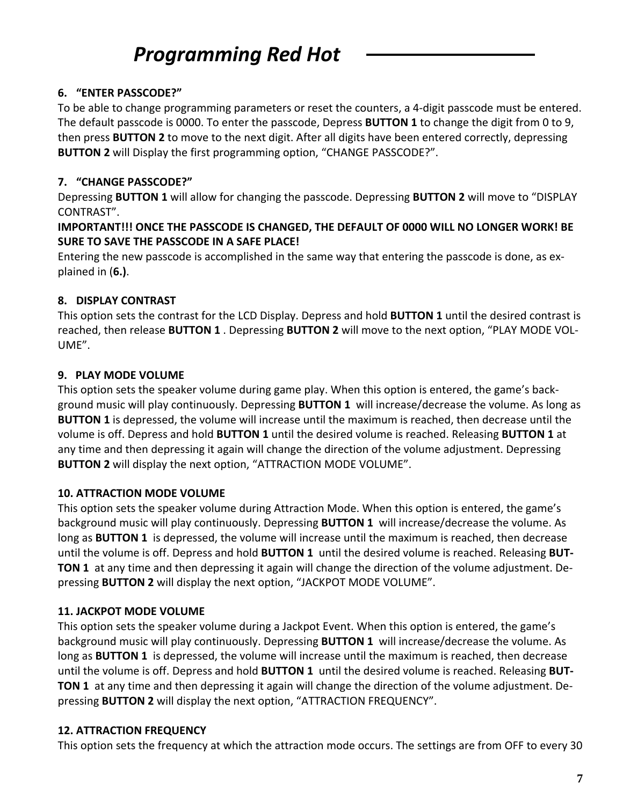### **6. "ENTER PASSCODE?"**

To be able to change programming parameters or reset the counters, a 4‐digit passcode must be entered. The default passcode is 0000. To enter the passcode, Depress **BUTTON 1** to change the digit from 0 to 9, then press **BUTTON 2** to move to the next digit. After all digits have been entered correctly, depressing **BUTTON 2** will Display the first programming option, "CHANGE PASSCODE?".

### **7. "CHANGE PASSCODE?"**

Depressing **BUTTON 1** will allow for changing the passcode. Depressing **BUTTON 2** will move to "DISPLAY CONTRAST".

### **IMPORTANT!!! ONCE THE PASSCODE IS CHANGED, THE DEFAULT OF 0000 WILL NO LONGER WORK! BE SURE TO SAVE THE PASSCODE IN A SAFE PLACE!**

Entering the new passcode is accomplished in the same way that entering the passcode is done, as ex‐ plained in (**6.)**.

### **8. DISPLAY CONTRAST**

This option sets the contrast for the LCD Display. Depress and hold **BUTTON 1** until the desired contrast is reached, then release **BUTTON 1** . Depressing **BUTTON 2** will move to the next option, "PLAY MODE VOL‐ UME".

### **9. PLAY MODE VOLUME**

This option sets the speaker volume during game play. When this option is entered, the game's back‐ ground music will play continuously. Depressing **BUTTON 1** will increase/decrease the volume. As long as **BUTTON 1** is depressed, the volume will increase until the maximum is reached, then decrease until the volume is off. Depress and hold **BUTTON 1** until the desired volume is reached. Releasing **BUTTON 1** at any time and then depressing it again will change the direction of the volume adjustment. Depressing **BUTTON 2** will display the next option, "ATTRACTION MODE VOLUME".

### **10. ATTRACTION MODE VOLUME**

This option sets the speaker volume during Attraction Mode. When this option is entered, the game's background music will play continuously. Depressing **BUTTON 1** will increase/decrease the volume. As long as **BUTTON 1** is depressed, the volume will increase until the maximum is reached, then decrease until the volume is off. Depress and hold **BUTTON 1** until the desired volume is reached. Releasing **BUT‐ TON 1** at any time and then depressing it again will change the direction of the volume adjustment. De‐ pressing **BUTTON 2** will display the next option, "JACKPOT MODE VOLUME".

### **11. JACKPOT MODE VOLUME**

This option sets the speaker volume during a Jackpot Event. When this option is entered, the game's background music will play continuously. Depressing **BUTTON 1** will increase/decrease the volume. As long as **BUTTON 1** is depressed, the volume will increase until the maximum is reached, then decrease until the volume is off. Depress and hold **BUTTON 1** until the desired volume is reached. Releasing **BUT‐ TON 1** at any time and then depressing it again will change the direction of the volume adjustment. De‐ pressing **BUTTON 2** will display the next option, "ATTRACTION FREQUENCY".

### **12. ATTRACTION FREQUENCY**

This option sets the frequency at which the attraction mode occurs. The settings are from OFF to every 30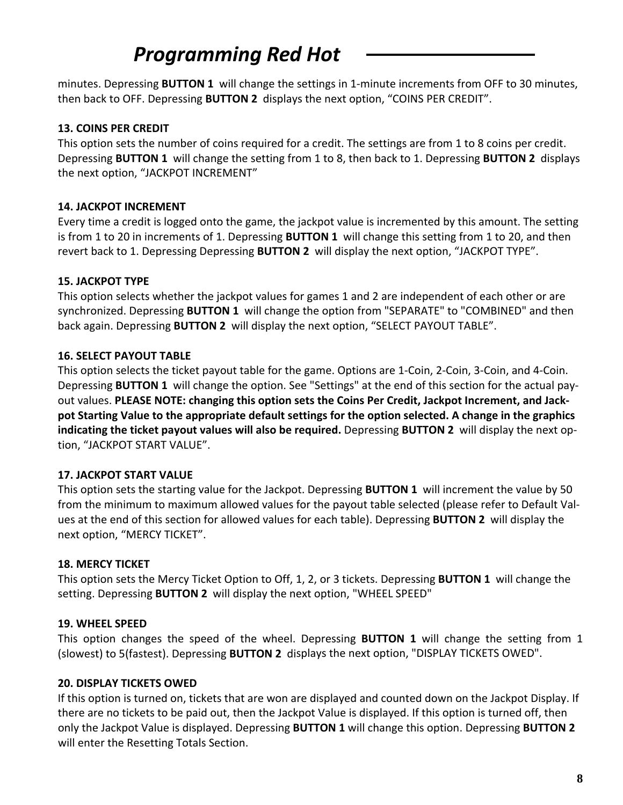minutes. Depressing **BUTTON 1** will change the settings in 1‐minute increments from OFF to 30 minutes, then back to OFF. Depressing **BUTTON 2** displays the next option, "COINS PER CREDIT".

#### **13. COINS PER CREDIT**

This option sets the number of coins required for a credit. The settings are from 1 to 8 coins per credit. Depressing **BUTTON 1** will change the setting from 1 to 8, then back to 1. Depressing **BUTTON 2** displays the next option, "JACKPOT INCREMENT"

### **14. JACKPOT INCREMENT**

Every time a credit is logged onto the game, the jackpot value is incremented by this amount. The setting is from 1 to 20 in increments of 1. Depressing **BUTTON 1** will change this setting from 1 to 20, and then revert back to 1. Depressing Depressing **BUTTON 2** will display the next option, "JACKPOT TYPE".

### **15. JACKPOT TYPE**

This option selects whether the jackpot values for games 1 and 2 are independent of each other or are synchronized. Depressing **BUTTON 1** will change the option from "SEPARATE" to "COMBINED" and then back again. Depressing **BUTTON 2** will display the next option, "SELECT PAYOUT TABLE".

### **16. SELECT PAYOUT TABLE**

This option selects the ticket payout table for the game. Options are 1‐Coin, 2‐Coin, 3‐Coin, and 4‐Coin. Depressing **BUTTON 1** will change the option. See "Settings" at the end of this section for the actual pay‐ out values. **PLEASE NOTE: changing this option sets the Coins Per Credit, Jackpot Increment, and Jack‐ pot Starting Value to the appropriate default settings for the option selected. A change in the graphics indicating the ticket payout values will also be required.** Depressing **BUTTON 2** will display the next op‐ tion, "JACKPOT START VALUE".

#### **17. JACKPOT START VALUE**

This option sets the starting value for the Jackpot. Depressing **BUTTON 1** will increment the value by 50 from the minimum to maximum allowed values for the payout table selected (please refer to Default Val‐ ues at the end of this section for allowed values for each table). Depressing **BUTTON 2** will display the next option, "MERCY TICKET".

### **18. MERCY TICKET**

This option sets the Mercy Ticket Option to Off, 1, 2, or 3 tickets. Depressing **BUTTON 1** will change the setting. Depressing **BUTTON 2** will display the next option, "WHEEL SPEED"

### **19. WHEEL SPEED**

This option changes the speed of the wheel. Depressing **BUTTON 1** will change the setting from 1 (slowest) to 5(fastest). Depressing **BUTTON 2** displays the next option, "DISPLAY TICKETS OWED".

#### **20. DISPLAY TICKETS OWED**

If this option is turned on, tickets that are won are displayed and counted down on the Jackpot Display. If there are no tickets to be paid out, then the Jackpot Value is displayed. If this option is turned off, then only the Jackpot Value is displayed. Depressing **BUTTON 1** will change this option. Depressing **BUTTON 2** will enter the Resetting Totals Section.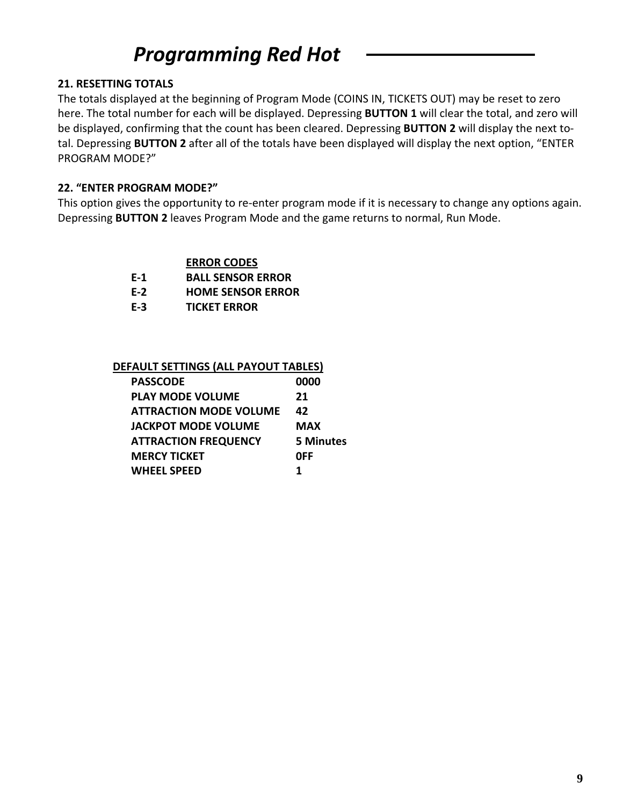#### **21. RESETTING TOTALS**

The totals displayed at the beginning of Program Mode (COINS IN, TICKETS OUT) may be reset to zero here. The total number for each will be displayed. Depressing **BUTTON 1** will clear the total, and zero will be displayed, confirming that the count has been cleared. Depressing **BUTTON 2** will display the next to‐ tal. Depressing **BUTTON 2** after all of the totals have been displayed will display the next option, "ENTER PROGRAM MODE?"

### **22. "ENTER PROGRAM MODE?"**

This option gives the opportunity to re-enter program mode if it is necessary to change any options again. Depressing **BUTTON 2** leaves Program Mode and the game returns to normal, Run Mode.

#### **ERROR CODES**

- **E‐1 BALL SENSOR ERROR**
- **E‐2 HOME SENSOR ERROR**
- **E‐3 TICKET ERROR**

#### **DEFAULT SETTINGS (ALL PAYOUT TABLES)**

| <b>PASSCODE</b>               | 0000             |
|-------------------------------|------------------|
| <b>PLAY MODE VOLUME</b>       | 21               |
| <b>ATTRACTION MODE VOLUME</b> | 42               |
| <b>JACKPOT MODE VOLUME</b>    | <b>MAX</b>       |
| <b>ATTRACTION FREQUENCY</b>   | <b>5 Minutes</b> |
| <b>MERCY TICKET</b>           | 0FF              |
| <b>WHEEL SPEED</b>            | 1                |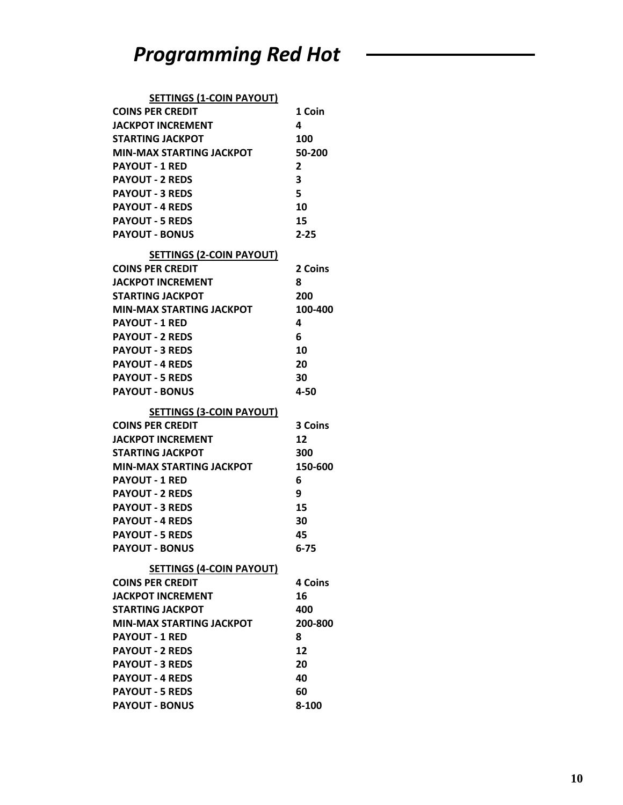| <b>SETTINGS (1-COIN PAYOUT)</b>                 |                |
|-------------------------------------------------|----------------|
| <b>COINS PER CREDIT</b>                         | 1 Coin         |
| <b>JACKPOT INCREMENT</b>                        | 4              |
| <b>STARTING JACKPOT</b>                         | 100            |
| <b>MIN-MAX STARTING JACKPOT</b>                 | 50-200         |
| <b>PAYOUT - 1 RED</b>                           | 2              |
| <b>PAYOUT - 2 REDS</b>                          | 3              |
| <b>PAYOUT - 3 REDS</b>                          | 5              |
| <b>PAYOUT - 4 REDS</b>                          | 10             |
| <b>PAYOUT - 5 REDS</b>                          | 15             |
| <b>PAYOUT - BONUS</b>                           | $2 - 25$       |
| <b>SETTINGS (2-COIN PAYOUT)</b>                 |                |
| <b>COINS PER CREDIT</b>                         | 2 Coins        |
| <b>JACKPOT INCREMENT</b>                        | 8              |
| <b>STARTING JACKPOT</b>                         | 200            |
| <b>MIN-MAX STARTING JACKPOT</b>                 | 100-400        |
| <b>PAYOUT - 1 RED</b>                           | 4              |
| <b>PAYOUT - 2 REDS</b>                          | 6              |
| <b>PAYOUT - 3 REDS</b>                          | 10             |
| <b>PAYOUT - 4 REDS</b>                          | 20             |
| <b>PAYOUT - 5 REDS</b>                          | 30             |
| <b>PAYOUT - BONUS</b>                           | 4-50           |
|                                                 |                |
|                                                 |                |
| <b>SETTINGS (3-COIN PAYOUT)</b>                 |                |
| <b>COINS PER CREDIT</b>                         | 3 Coins        |
| <b>JACKPOT INCREMENT</b>                        | 12             |
| <b>STARTING JACKPOT</b>                         | 300            |
| <b>MIN-MAX STARTING JACKPOT</b>                 | 150-600        |
| <b>PAYOUT - 1 RED</b>                           | 6              |
| <b>PAYOUT - 2 REDS</b>                          | 9              |
| <b>PAYOUT - 3 REDS</b>                          | 15             |
| <b>PAYOUT - 4 REDS</b>                          | 30<br>45       |
| <b>PAYOUT - 5 REDS</b>                          |                |
| <b>PAYOUT - BONUS</b>                           | $6 - 75$       |
| <b>SETTINGS (4-COIN PAYOUT)</b>                 |                |
| <b>COINS PER CREDIT</b>                         | <b>4 Coins</b> |
| <b>JACKPOT INCREMENT</b>                        | 16             |
| <b>STARTING JACKPOT</b>                         | 400            |
| <b>MIN-MAX STARTING JACKPOT</b>                 | 200-800        |
| <b>PAYOUT - 1 RED</b>                           | 8              |
| <b>PAYOUT - 2 REDS</b>                          | 12             |
| <b>PAYOUT - 3 REDS</b>                          | 20             |
| <b>PAYOUT - 4 REDS</b>                          | 40             |
| <b>PAYOUT - 5 REDS</b><br><b>PAYOUT - BONUS</b> | 60<br>8-100    |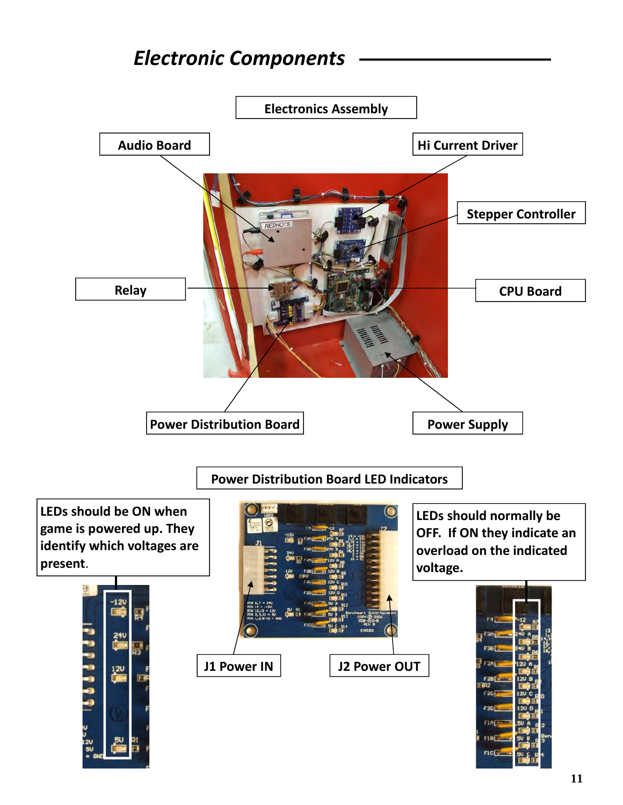# *Electronic Components*

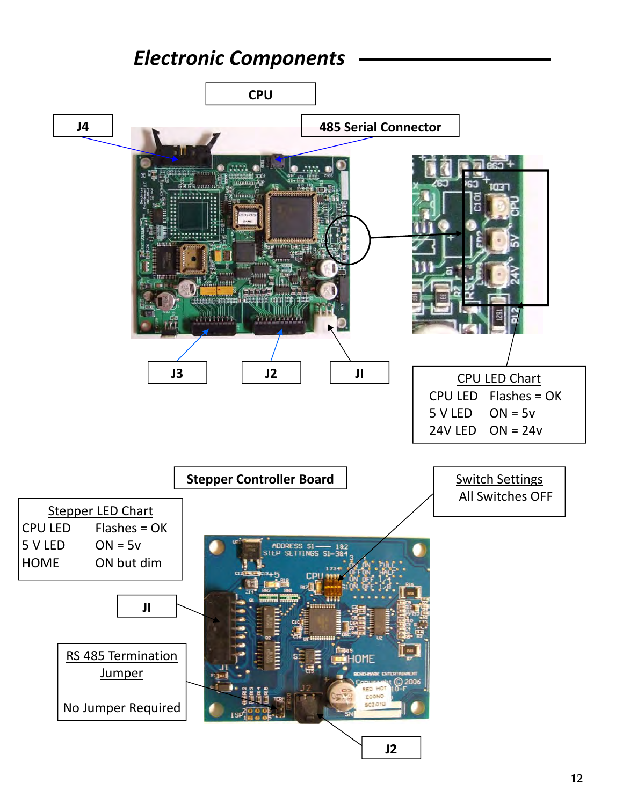### *Electronic Components*

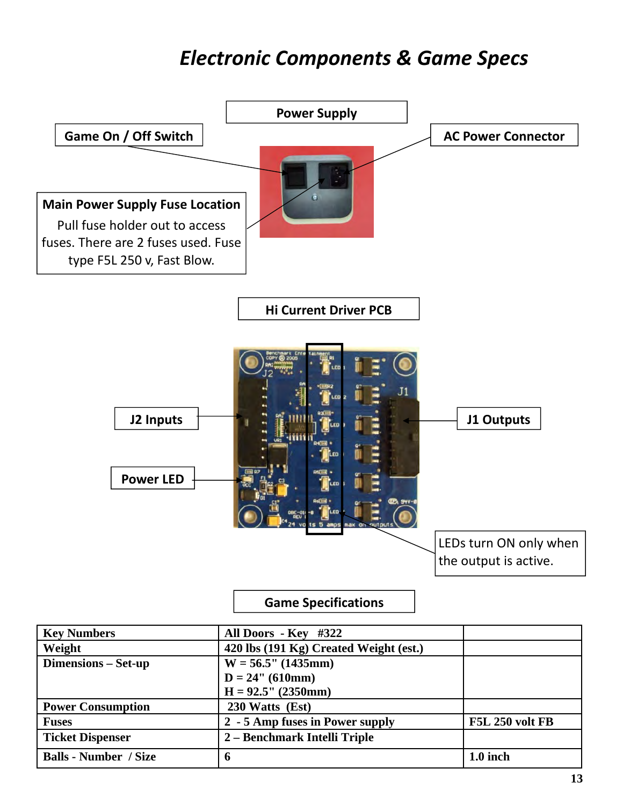## *Electronic Components & Game Specs*



**Fuses 2 - 5 Amp fuses in Power supply F5L 250 volt FB**

**Power Consumption 230 Watts (Est)** 

**Ticket Dispenser 2 – Benchmark Intelli Triple**

| <b>Ticket Dispenser</b>      | 2 – Benchmark Intelli Triple |            |
|------------------------------|------------------------------|------------|
| <b>Balls - Number / Size</b> |                              | $1.0$ inch |